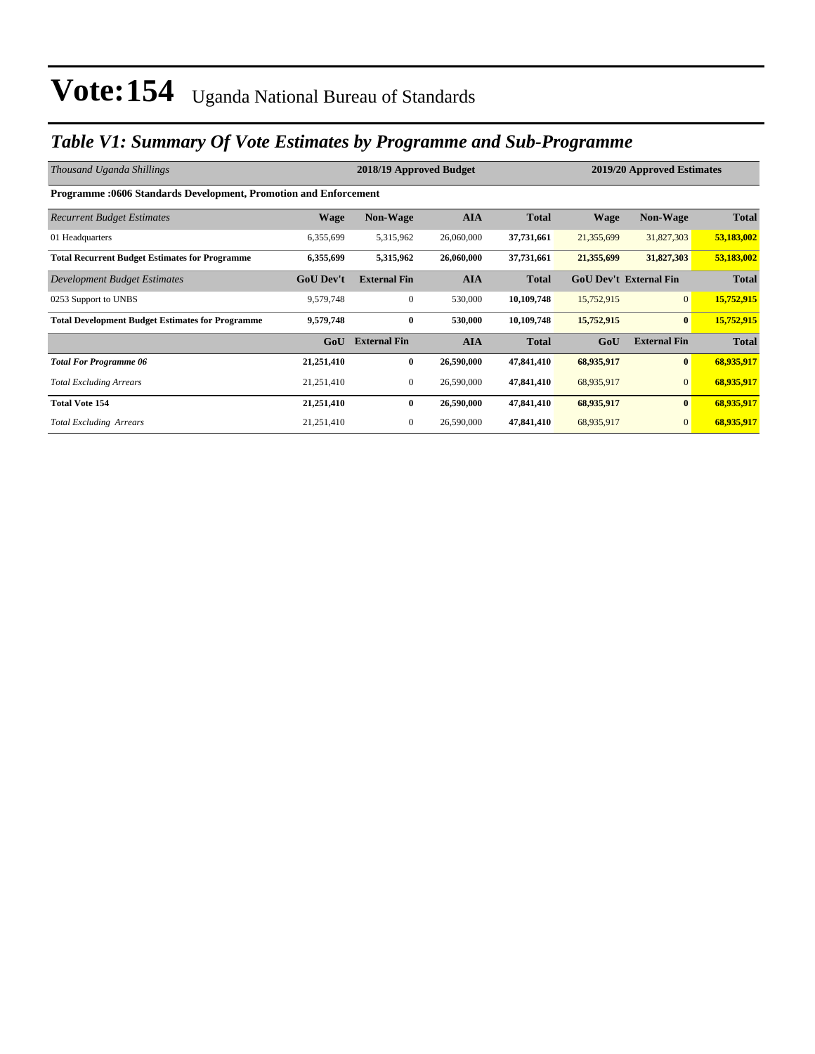### *Table V1: Summary Of Vote Estimates by Programme and Sub-Programme*

| Thousand Uganda Shillings                                               |                  | 2019/20 Approved Estimates |            |              |                               |                     |              |  |  |  |  |
|-------------------------------------------------------------------------|------------------|----------------------------|------------|--------------|-------------------------------|---------------------|--------------|--|--|--|--|
| <b>Programme: 0606 Standards Development, Promotion and Enforcement</b> |                  |                            |            |              |                               |                     |              |  |  |  |  |
| <b>Recurrent Budget Estimates</b>                                       | <b>Wage</b>      | <b>Non-Wage</b>            | <b>AIA</b> | <b>Total</b> | <b>Wage</b>                   | Non-Wage            | <b>Total</b> |  |  |  |  |
| 01 Headquarters                                                         | 6,355,699        | 5,315,962                  | 26,060,000 | 37,731,661   | 21,355,699                    | 31,827,303          | 53,183,002   |  |  |  |  |
| <b>Total Recurrent Budget Estimates for Programme</b>                   | 6,355,699        | 5,315,962                  | 26,060,000 | 37,731,661   | 21,355,699                    | 31,827,303          | 53,183,002   |  |  |  |  |
| Development Budget Estimates                                            | <b>GoU Dev't</b> | <b>External Fin</b>        | <b>AIA</b> | <b>Total</b> | <b>GoU Dev't External Fin</b> |                     | <b>Total</b> |  |  |  |  |
| 0253 Support to UNBS                                                    | 9,579,748        | $\mathbf{0}$               | 530,000    | 10,109,748   | 15,752,915                    | $\overline{0}$      | 15,752,915   |  |  |  |  |
| <b>Total Development Budget Estimates for Programme</b>                 | 9,579,748        | $\bf{0}$                   | 530,000    | 10,109,748   | 15,752,915                    | $\bf{0}$            | 15,752,915   |  |  |  |  |
|                                                                         | GoU              | <b>External Fin</b>        | <b>AIA</b> | <b>Total</b> | GoU                           | <b>External Fin</b> | <b>Total</b> |  |  |  |  |
| <b>Total For Programme 06</b>                                           | 21,251,410       | 0                          | 26,590,000 | 47,841,410   | 68,935,917                    | $\bf{0}$            | 68,935,917   |  |  |  |  |
| <b>Total Excluding Arrears</b>                                          | 21,251,410       | 0                          | 26,590,000 | 47,841,410   | 68,935,917                    | $\mathbf{0}$        | 68,935,917   |  |  |  |  |
| <b>Total Vote 154</b>                                                   | 21,251,410       | $\bf{0}$                   | 26,590,000 | 47,841,410   | 68,935,917                    | $\bf{0}$            | 68,935,917   |  |  |  |  |
| <b>Total Excluding Arrears</b>                                          | 21,251,410       | $\mathbf{0}$               | 26,590,000 | 47,841,410   | 68,935,917                    | $\mathbf{0}$        | 68,935,917   |  |  |  |  |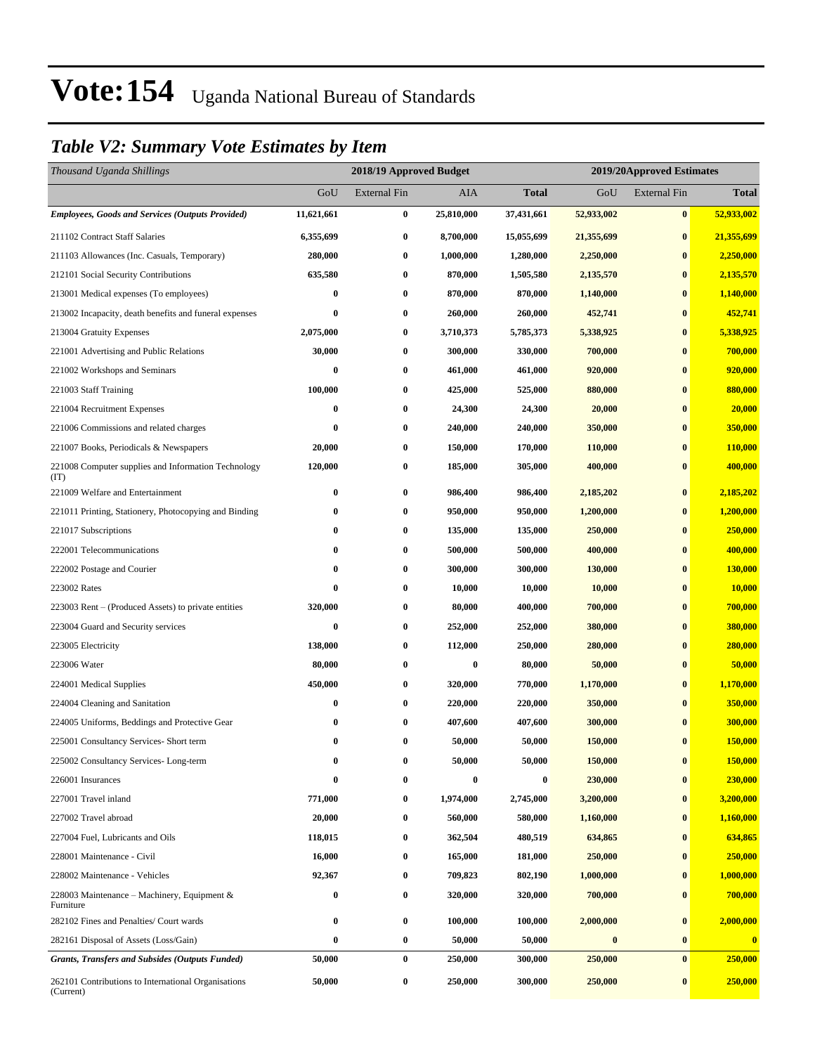### *Table V2: Summary Vote Estimates by Item*

| Thousand Uganda Shillings                                        |            | 2018/19 Approved Budget |            |            |                  | 2019/20Approved Estimates |              |  |  |
|------------------------------------------------------------------|------------|-------------------------|------------|------------|------------------|---------------------------|--------------|--|--|
|                                                                  | GoU        | <b>External Fin</b>     | <b>AIA</b> | Total      | GoU              | <b>External Fin</b>       | <b>Total</b> |  |  |
| <b>Employees, Goods and Services (Outputs Provided)</b>          | 11,621,661 | $\bf{0}$                | 25,810,000 | 37,431,661 | 52,933,002       | $\bf{0}$                  | 52,933,002   |  |  |
| 211102 Contract Staff Salaries                                   | 6,355,699  | $\boldsymbol{0}$        | 8,700,000  | 15,055,699 | 21,355,699       | $\bf{0}$                  | 21,355,699   |  |  |
| 211103 Allowances (Inc. Casuals, Temporary)                      | 280,000    | 0                       | 1,000,000  | 1,280,000  | 2,250,000        | $\bf{0}$                  | 2,250,000    |  |  |
| 212101 Social Security Contributions                             | 635,580    | $\boldsymbol{0}$        | 870,000    | 1,505,580  | 2,135,570        | $\bf{0}$                  | 2,135,570    |  |  |
| 213001 Medical expenses (To employees)                           | 0          | $\boldsymbol{0}$        | 870,000    | 870,000    | 1,140,000        | $\bf{0}$                  | 1,140,000    |  |  |
| 213002 Incapacity, death benefits and funeral expenses           | 0          | $\boldsymbol{0}$        | 260,000    | 260,000    | 452,741          | $\bf{0}$                  | 452,741      |  |  |
| 213004 Gratuity Expenses                                         | 2,075,000  | $\boldsymbol{0}$        | 3,710,373  | 5,785,373  | 5,338,925        | $\bf{0}$                  | 5,338,925    |  |  |
| 221001 Advertising and Public Relations                          | 30,000     | $\bf{0}$                | 300,000    | 330,000    | 700,000          | $\bf{0}$                  | 700,000      |  |  |
| 221002 Workshops and Seminars                                    | 0          | $\boldsymbol{0}$        | 461,000    | 461,000    | 920,000          | $\bf{0}$                  | 920,000      |  |  |
| 221003 Staff Training                                            | 100,000    | $\bf{0}$                | 425,000    | 525,000    | 880,000          | $\bf{0}$                  | 880,000      |  |  |
| 221004 Recruitment Expenses                                      | 0          | $\boldsymbol{0}$        | 24,300     | 24,300     | 20,000           | $\bf{0}$                  | 20,000       |  |  |
| 221006 Commissions and related charges                           | 0          | $\bf{0}$                | 240,000    | 240,000    | 350,000          | $\bf{0}$                  | 350,000      |  |  |
| 221007 Books, Periodicals & Newspapers                           | 20,000     | $\boldsymbol{0}$        | 150,000    | 170,000    | 110,000          | $\bf{0}$                  | 110,000      |  |  |
| 221008 Computer supplies and Information Technology<br>(TT)      | 120,000    | $\boldsymbol{0}$        | 185,000    | 305,000    | 400,000          | $\bf{0}$                  | 400,000      |  |  |
| 221009 Welfare and Entertainment                                 | $\bf{0}$   | $\boldsymbol{0}$        | 986,400    | 986,400    | 2,185,202        | $\bf{0}$                  | 2,185,202    |  |  |
| 221011 Printing, Stationery, Photocopying and Binding            | 0          | $\bf{0}$                | 950,000    | 950,000    | 1,200,000        | $\bf{0}$                  | 1,200,000    |  |  |
| 221017 Subscriptions                                             | 0          | $\boldsymbol{0}$        | 135,000    | 135,000    | 250,000          | $\bf{0}$                  | 250,000      |  |  |
| 222001 Telecommunications                                        | 0          | $\boldsymbol{0}$        | 500,000    | 500,000    | 400,000          | $\bf{0}$                  | 400,000      |  |  |
| 222002 Postage and Courier                                       | 0          | $\bf{0}$                | 300,000    | 300,000    | 130,000          | $\bf{0}$                  | 130,000      |  |  |
| 223002 Rates                                                     | $\bf{0}$   | $\bf{0}$                | 10,000     | 10,000     | 10,000           | $\bf{0}$                  | 10,000       |  |  |
| 223003 Rent – (Produced Assets) to private entities              | 320,000    | $\boldsymbol{0}$        | 80,000     | 400,000    | 700,000          | $\bf{0}$                  | 700,000      |  |  |
| 223004 Guard and Security services                               | $\bf{0}$   | $\bf{0}$                | 252,000    | 252,000    | 380,000          | $\bf{0}$                  | 380,000      |  |  |
| 223005 Electricity                                               | 138,000    | $\bf{0}$                | 112,000    | 250,000    | 280,000          | $\bf{0}$                  | 280,000      |  |  |
| 223006 Water                                                     | 80,000     | $\bf{0}$                | $\bf{0}$   | 80,000     | 50,000           | $\bf{0}$                  | 50,000       |  |  |
| 224001 Medical Supplies                                          | 450,000    | $\bf{0}$                | 320,000    | 770,000    | 1,170,000        | $\bf{0}$                  | 1,170,000    |  |  |
| 224004 Cleaning and Sanitation                                   | 0          | $\boldsymbol{0}$        | 220,000    | 220,000    | 350,000          | $\bf{0}$                  | 350,000      |  |  |
| 224005 Uniforms, Beddings and Protective Gear                    | 0          | $\bf{0}$                | 407,600    | 407,600    | 300,000          | $\bf{0}$                  | 300,000      |  |  |
| 225001 Consultancy Services- Short term                          | 0          | $\bf{0}$                | 50,000     | 50,000     | 150,000          | $\bf{0}$                  | 150,000      |  |  |
| 225002 Consultancy Services-Long-term                            | 0          | 0                       | 50,000     | 50,000     | 150,000          | $\bf{0}$                  | 150,000      |  |  |
| 226001 Insurances                                                | 0          | $\bf{0}$                | $\bf{0}$   | $\bf{0}$   | 230,000          | $\bf{0}$                  | 230,000      |  |  |
| 227001 Travel inland                                             | 771,000    | 0                       | 1,974,000  | 2,745,000  | 3,200,000        | $\bf{0}$                  | 3,200,000    |  |  |
| 227002 Travel abroad                                             | 20,000     | 0                       | 560,000    | 580,000    | 1,160,000        | $\bf{0}$                  | 1,160,000    |  |  |
| 227004 Fuel, Lubricants and Oils                                 | 118,015    | 0                       | 362,504    | 480,519    | 634,865          | $\bf{0}$                  | 634,865      |  |  |
| 228001 Maintenance - Civil                                       | 16,000     | 0                       | 165,000    | 181,000    | 250,000          | $\bf{0}$                  | 250,000      |  |  |
| 228002 Maintenance - Vehicles                                    | 92,367     | $\boldsymbol{0}$        | 709,823    | 802,190    | 1,000,000        | $\bf{0}$                  | 1,000,000    |  |  |
| 228003 Maintenance - Machinery, Equipment &<br>Furniture         | 0          | $\boldsymbol{0}$        | 320,000    | 320,000    | 700,000          | $\bf{0}$                  | 700,000      |  |  |
| 282102 Fines and Penalties/ Court wards                          | 0          | $\boldsymbol{0}$        | 100,000    | 100,000    | 2,000,000        | $\bf{0}$                  | 2,000,000    |  |  |
| 282161 Disposal of Assets (Loss/Gain)                            | 0          | $\boldsymbol{0}$        | 50,000     | 50,000     | $\boldsymbol{0}$ | $\bf{0}$                  | $\bf{0}$     |  |  |
| <b>Grants, Transfers and Subsides (Outputs Funded)</b>           | 50,000     | $\bf{0}$                | 250,000    | 300,000    | 250,000          | $\bf{0}$                  | 250,000      |  |  |
| 262101 Contributions to International Organisations<br>(Current) | 50,000     | $\boldsymbol{0}$        | 250,000    | 300,000    | 250,000          | $\bf{0}$                  | 250,000      |  |  |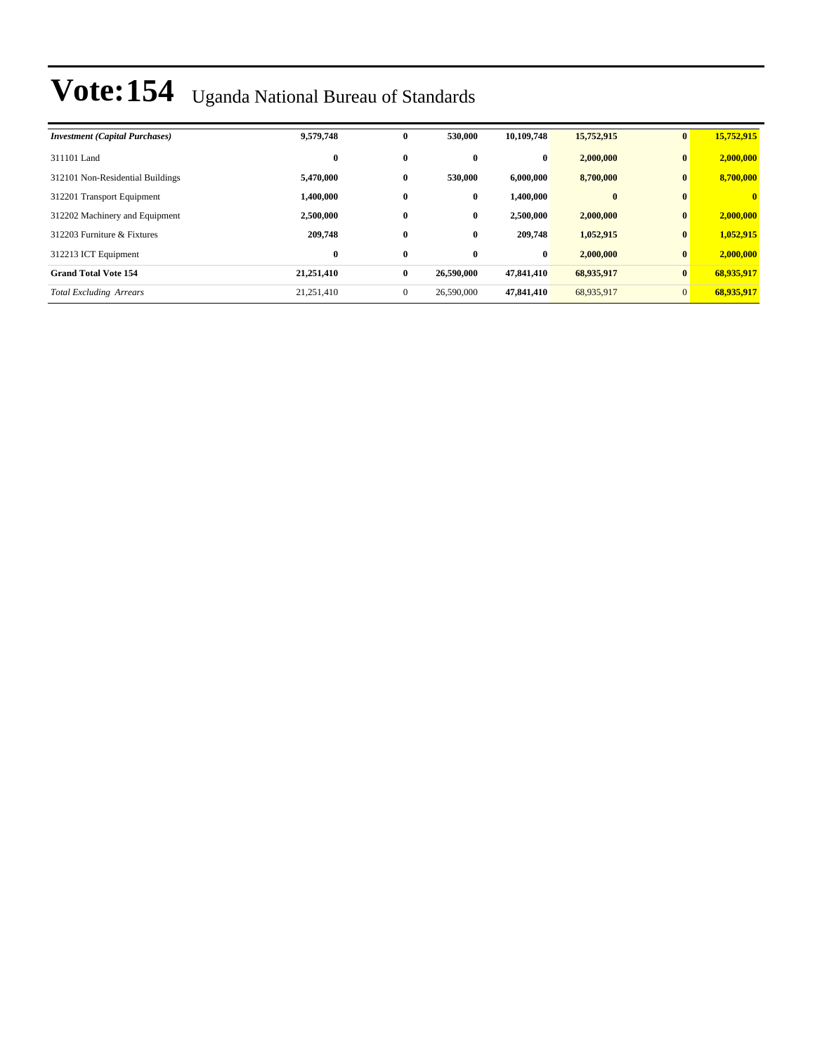| <b>Investment</b> (Capital Purchases) | 9,579,748  | $\bf{0}$     | 530,000    | 10.109.748 | 15,752,915   | $\mathbf{0}$    | 15,752,915   |
|---------------------------------------|------------|--------------|------------|------------|--------------|-----------------|--------------|
| 311101 Land                           | $\bf{0}$   | $\bf{0}$     | $\bf{0}$   | $\bf{0}$   | 2,000,000    | $\bf{0}$        | 2,000,000    |
| 312101 Non-Residential Buildings      | 5,470,000  | $\bf{0}$     | 530,000    | 6.000.000  | 8,700,000    | $\bf{0}$        | 8,700,000    |
| 312201 Transport Equipment            | 1.400.000  | $\bf{0}$     | $\bf{0}$   | 1.400.000  | $\mathbf{0}$ | $\mathbf{0}$    | $\mathbf{0}$ |
| 312202 Machinery and Equipment        | 2,500,000  | $\bf{0}$     | $\bf{0}$   | 2,500,000  | 2,000,000    | $\bf{0}$        | 2,000,000    |
| 312203 Furniture & Fixtures           | 209,748    | $\bf{0}$     | $\bf{0}$   | 209,748    | 1,052,915    | $\bf{0}$        | 1,052,915    |
| 312213 ICT Equipment                  | $\bf{0}$   | $\bf{0}$     | $\bf{0}$   | $\bf{0}$   | 2,000,000    | $\bf{0}$        | 2,000,000    |
| <b>Grand Total Vote 154</b>           | 21,251,410 | $\bf{0}$     | 26,590,000 | 47,841,410 | 68,935,917   | $\vert 0 \vert$ | 68,935,917   |
| <b>Total Excluding Arrears</b>        | 21.251.410 | $\mathbf{0}$ | 26,590,000 | 47,841,410 | 68,935,917   | $\overline{0}$  | 68,935,917   |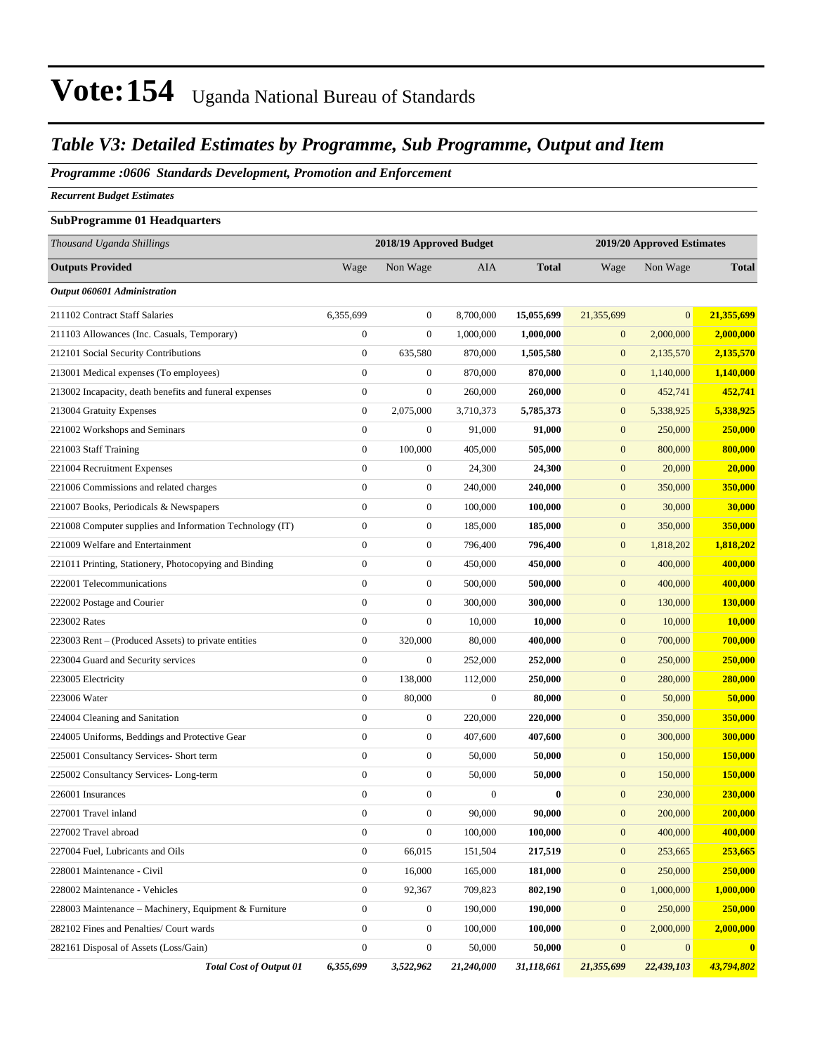### *Table V3: Detailed Estimates by Programme, Sub Programme, Output and Item*

#### *Programme :0606 Standards Development, Promotion and Enforcement*

*Recurrent Budget Estimates*

### **SubProgramme 01 Headquarters**

| Thousand Uganda Shillings                                | 2018/19 Approved Budget<br>2019/20 Approved Estimates |                  |                  |              |                  |                |              |
|----------------------------------------------------------|-------------------------------------------------------|------------------|------------------|--------------|------------------|----------------|--------------|
| <b>Outputs Provided</b>                                  | Wage                                                  | Non Wage         | <b>AIA</b>       | <b>Total</b> | Wage             | Non Wage       | <b>Total</b> |
| Output 060601 Administration                             |                                                       |                  |                  |              |                  |                |              |
| 211102 Contract Staff Salaries                           | 6,355,699                                             | $\boldsymbol{0}$ | 8,700,000        | 15,055,699   | 21,355,699       | $\overline{0}$ | 21,355,699   |
| 211103 Allowances (Inc. Casuals, Temporary)              | $\boldsymbol{0}$                                      | $\boldsymbol{0}$ | 1,000,000        | 1,000,000    | $\mathbf{0}$     | 2,000,000      | 2,000,000    |
| 212101 Social Security Contributions                     | $\boldsymbol{0}$                                      | 635,580          | 870,000          | 1,505,580    | $\boldsymbol{0}$ | 2,135,570      | 2,135,570    |
| 213001 Medical expenses (To employees)                   | $\boldsymbol{0}$                                      | $\boldsymbol{0}$ | 870,000          | 870,000      | $\boldsymbol{0}$ | 1,140,000      | 1,140,000    |
| 213002 Incapacity, death benefits and funeral expenses   | $\boldsymbol{0}$                                      | $\boldsymbol{0}$ | 260,000          | 260,000      | $\boldsymbol{0}$ | 452,741        | 452,741      |
| 213004 Gratuity Expenses                                 | $\boldsymbol{0}$                                      | 2,075,000        | 3,710,373        | 5,785,373    | $\boldsymbol{0}$ | 5,338,925      | 5,338,925    |
| 221002 Workshops and Seminars                            | $\boldsymbol{0}$                                      | $\boldsymbol{0}$ | 91,000           | 91,000       | $\mathbf{0}$     | 250,000        | 250,000      |
| 221003 Staff Training                                    | $\boldsymbol{0}$                                      | 100,000          | 405,000          | 505,000      | $\mathbf{0}$     | 800,000        | 800,000      |
| 221004 Recruitment Expenses                              | $\overline{0}$                                        | $\boldsymbol{0}$ | 24,300           | 24,300       | $\mathbf{0}$     | 20,000         | 20,000       |
| 221006 Commissions and related charges                   | $\boldsymbol{0}$                                      | $\boldsymbol{0}$ | 240,000          | 240,000      | $\boldsymbol{0}$ | 350,000        | 350,000      |
| 221007 Books, Periodicals & Newspapers                   | $\boldsymbol{0}$                                      | $\boldsymbol{0}$ | 100,000          | 100,000      | $\boldsymbol{0}$ | 30,000         | 30,000       |
| 221008 Computer supplies and Information Technology (IT) | $\boldsymbol{0}$                                      | $\boldsymbol{0}$ | 185,000          | 185,000      | $\boldsymbol{0}$ | 350,000        | 350,000      |
| 221009 Welfare and Entertainment                         | $\boldsymbol{0}$                                      | $\boldsymbol{0}$ | 796,400          | 796,400      | $\boldsymbol{0}$ | 1,818,202      | 1,818,202    |
| 221011 Printing, Stationery, Photocopying and Binding    | $\overline{0}$                                        | $\boldsymbol{0}$ | 450,000          | 450,000      | $\boldsymbol{0}$ | 400,000        | 400,000      |
| 222001 Telecommunications                                | $\boldsymbol{0}$                                      | $\boldsymbol{0}$ | 500,000          | 500,000      | $\boldsymbol{0}$ | 400,000        | 400,000      |
| 222002 Postage and Courier                               | $\boldsymbol{0}$                                      | $\boldsymbol{0}$ | 300,000          | 300,000      | $\boldsymbol{0}$ | 130,000        | 130,000      |
| 223002 Rates                                             | $\boldsymbol{0}$                                      | $\boldsymbol{0}$ | 10,000           | 10,000       | $\boldsymbol{0}$ | 10,000         | 10,000       |
| 223003 Rent - (Produced Assets) to private entities      | $\boldsymbol{0}$                                      | 320,000          | 80,000           | 400,000      | $\boldsymbol{0}$ | 700,000        | 700,000      |
| 223004 Guard and Security services                       | $\boldsymbol{0}$                                      | $\boldsymbol{0}$ | 252,000          | 252,000      | $\boldsymbol{0}$ | 250,000        | 250,000      |
| 223005 Electricity                                       | $\boldsymbol{0}$                                      | 138,000          | 112,000          | 250,000      | $\boldsymbol{0}$ | 280,000        | 280,000      |
| 223006 Water                                             | $\boldsymbol{0}$                                      | 80,000           | $\boldsymbol{0}$ | 80,000       | $\boldsymbol{0}$ | 50,000         | 50,000       |
| 224004 Cleaning and Sanitation                           | $\boldsymbol{0}$                                      | $\boldsymbol{0}$ | 220,000          | 220,000      | $\boldsymbol{0}$ | 350,000        | 350,000      |
| 224005 Uniforms, Beddings and Protective Gear            | $\boldsymbol{0}$                                      | $\boldsymbol{0}$ | 407,600          | 407,600      | $\boldsymbol{0}$ | 300,000        | 300,000      |
| 225001 Consultancy Services- Short term                  | $\overline{0}$                                        | $\boldsymbol{0}$ | 50,000           | 50,000       | $\boldsymbol{0}$ | 150,000        | 150,000      |
| 225002 Consultancy Services-Long-term                    | $\boldsymbol{0}$                                      | $\boldsymbol{0}$ | 50,000           | 50,000       | $\boldsymbol{0}$ | 150,000        | 150,000      |
| 226001 Insurances                                        | $\boldsymbol{0}$                                      | $\boldsymbol{0}$ | $\boldsymbol{0}$ | $\bf{0}$     | $\boldsymbol{0}$ | 230,000        | 230,000      |
| 227001 Travel inland                                     | $\boldsymbol{0}$                                      | $\boldsymbol{0}$ | 90,000           | 90,000       | $\mathbf{0}$     | 200,000        | 200,000      |
| 227002 Travel abroad                                     | $\boldsymbol{0}$                                      | $\boldsymbol{0}$ | 100,000          | 100,000      | $\boldsymbol{0}$ | 400,000        | 400,000      |
| 227004 Fuel, Lubricants and Oils                         | $\boldsymbol{0}$                                      | 66,015           | 151,504          | 217,519      | $\boldsymbol{0}$ | 253,665        | 253,665      |
| 228001 Maintenance - Civil                               | $\boldsymbol{0}$                                      | 16,000           | 165,000          | 181,000      | $\boldsymbol{0}$ | 250,000        | 250,000      |
| 228002 Maintenance - Vehicles                            | $\boldsymbol{0}$                                      | 92,367           | 709,823          | 802,190      | $\mathbf{0}$     | 1,000,000      | 1,000,000    |
| 228003 Maintenance – Machinery, Equipment & Furniture    | $\boldsymbol{0}$                                      | 0                | 190,000          | 190,000      | $\mathbf{0}$     | 250,000        | 250,000      |
| 282102 Fines and Penalties/ Court wards                  | $\boldsymbol{0}$                                      | $\boldsymbol{0}$ | 100,000          | 100,000      | $\boldsymbol{0}$ | 2,000,000      | 2,000,000    |
| 282161 Disposal of Assets (Loss/Gain)                    | $\boldsymbol{0}$                                      | $\boldsymbol{0}$ | 50,000           | 50,000       | $\boldsymbol{0}$ | $\mathbf{0}$   | $\bf{0}$     |
| <b>Total Cost of Output 01</b>                           | 6,355,699                                             | 3,522,962        | 21,240,000       | 31,118,661   | 21,355,699       | 22,439,103     | 43,794,802   |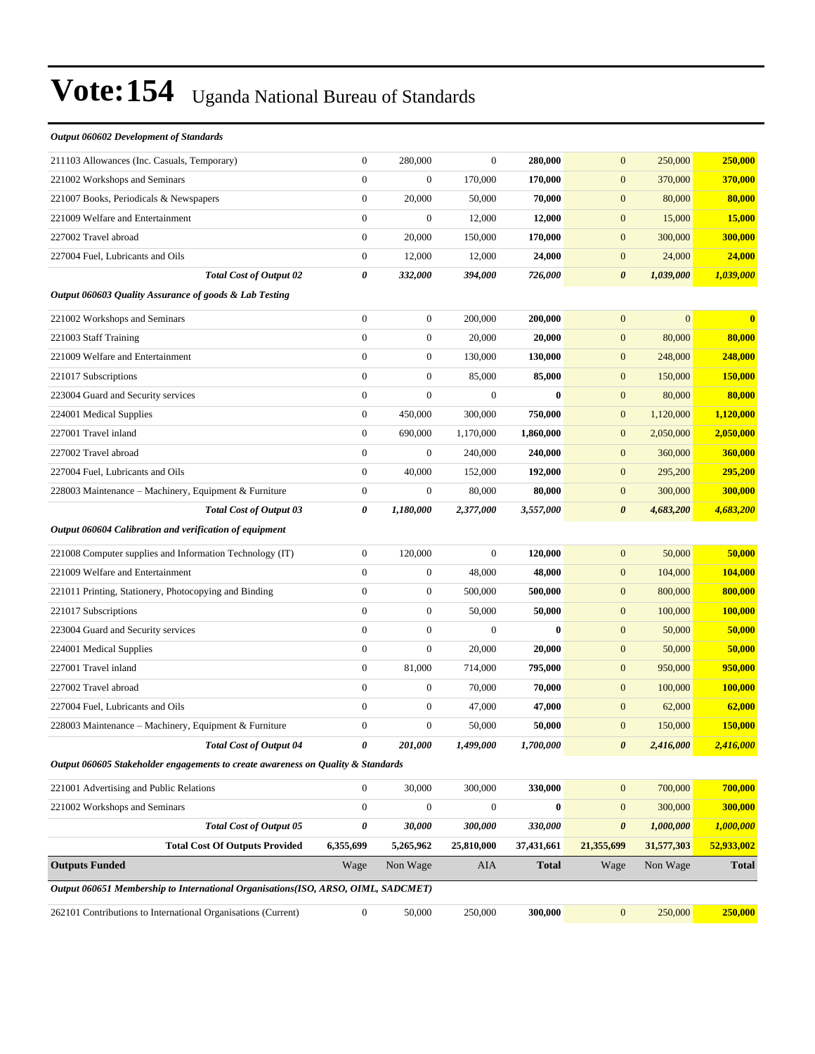| $\boldsymbol{0}$<br>$\boldsymbol{0}$<br>280,000<br>$\overline{0}$<br>280,000<br>250,000<br>250,000<br>211103 Allowances (Inc. Casuals, Temporary)<br>$\mathbf{0}$<br>221002 Workshops and Seminars<br>$\boldsymbol{0}$<br>170,000<br>170,000<br>$\boldsymbol{0}$<br>370,000<br>370,000<br>$\boldsymbol{0}$<br>20,000<br>80,000<br>80,000<br>221007 Books, Periodicals & Newspapers<br>50,000<br>70,000<br>$\mathbf{0}$<br>$\boldsymbol{0}$<br>221009 Welfare and Entertainment<br>$\boldsymbol{0}$<br>$\mathbf{0}$<br>15,000<br>15,000<br>12,000<br>12,000<br>$\mathbf{0}$<br>20,000<br>170,000<br>$\mathbf{0}$<br>300,000<br>227002 Travel abroad<br>150,000<br>300,000<br>$\boldsymbol{0}$<br>12,000<br>12,000<br>24,000<br>$\boldsymbol{0}$<br>24,000<br>227004 Fuel, Lubricants and Oils<br>24,000<br>$\pmb{\theta}$<br>1,039,000<br><b>Total Cost of Output 02</b><br>332,000<br>394,000<br>726,000<br>$\boldsymbol{\theta}$<br>1,039,000<br>Output 060603 Quality Assurance of goods & Lab Testing<br>$\boldsymbol{0}$<br>$\boldsymbol{0}$<br>$\mathbf{0}$<br>200,000<br>200,000<br>$\mathbf{0}$<br>$\bf{0}$<br>221002 Workshops and Seminars<br>$\boldsymbol{0}$<br>221003 Staff Training<br>$\boldsymbol{0}$<br>20,000<br>20,000<br>$\boldsymbol{0}$<br>80,000<br>80,000<br>$\boldsymbol{0}$<br>221009 Welfare and Entertainment<br>$\boldsymbol{0}$<br>130,000<br>130,000<br>248,000<br>$\boldsymbol{0}$<br>248,000<br>$\boldsymbol{0}$<br>$\mathbf{0}$<br>85,000<br>85,000<br>$\boldsymbol{0}$<br>150,000<br>150,000<br>221017 Subscriptions<br>$\mathbf{0}$<br>$\boldsymbol{0}$<br>223004 Guard and Security services<br>$\boldsymbol{0}$<br>$\bf{0}$<br>$\mathbf{0}$<br>80,000<br>80,000<br>224001 Medical Supplies<br>$\mathbf{0}$<br>450,000<br>300,000<br>750,000<br>$\mathbf{0}$<br>1,120,000<br>1,120,000<br>2,050,000<br>227001 Travel inland<br>$\boldsymbol{0}$<br>1,860,000<br>$\mathbf{0}$<br>2,050,000<br>690,000<br>1,170,000<br>$\boldsymbol{0}$<br>$\boldsymbol{0}$<br>240,000<br>$\mathbf{0}$<br>227002 Travel abroad<br>240,000<br>360,000<br>360,000<br>227004 Fuel, Lubricants and Oils<br>$\boldsymbol{0}$<br>40,000<br>192,000<br>$\boldsymbol{0}$<br>295,200<br>295,200<br>152,000<br>$\boldsymbol{0}$<br>$\boldsymbol{0}$<br>228003 Maintenance - Machinery, Equipment & Furniture<br>80,000<br>80,000<br>$\mathbf{0}$<br>300,000<br>300,000<br>0<br>1,180,000<br>$\boldsymbol{\theta}$<br>4,683,200<br><b>Total Cost of Output 03</b><br>2,377,000<br>3,557,000<br>4,683,200 |
|-----------------------------------------------------------------------------------------------------------------------------------------------------------------------------------------------------------------------------------------------------------------------------------------------------------------------------------------------------------------------------------------------------------------------------------------------------------------------------------------------------------------------------------------------------------------------------------------------------------------------------------------------------------------------------------------------------------------------------------------------------------------------------------------------------------------------------------------------------------------------------------------------------------------------------------------------------------------------------------------------------------------------------------------------------------------------------------------------------------------------------------------------------------------------------------------------------------------------------------------------------------------------------------------------------------------------------------------------------------------------------------------------------------------------------------------------------------------------------------------------------------------------------------------------------------------------------------------------------------------------------------------------------------------------------------------------------------------------------------------------------------------------------------------------------------------------------------------------------------------------------------------------------------------------------------------------------------------------------------------------------------------------------------------------------------------------------------------------------------------------------------------------------------------------------------------------------------------------------------------------------------------------------------------------------------------------------------------------------------------------------------------------------------------------------------------------------------------------------------------------------------------|
|                                                                                                                                                                                                                                                                                                                                                                                                                                                                                                                                                                                                                                                                                                                                                                                                                                                                                                                                                                                                                                                                                                                                                                                                                                                                                                                                                                                                                                                                                                                                                                                                                                                                                                                                                                                                                                                                                                                                                                                                                                                                                                                                                                                                                                                                                                                                                                                                                                                                                                                 |
|                                                                                                                                                                                                                                                                                                                                                                                                                                                                                                                                                                                                                                                                                                                                                                                                                                                                                                                                                                                                                                                                                                                                                                                                                                                                                                                                                                                                                                                                                                                                                                                                                                                                                                                                                                                                                                                                                                                                                                                                                                                                                                                                                                                                                                                                                                                                                                                                                                                                                                                 |
|                                                                                                                                                                                                                                                                                                                                                                                                                                                                                                                                                                                                                                                                                                                                                                                                                                                                                                                                                                                                                                                                                                                                                                                                                                                                                                                                                                                                                                                                                                                                                                                                                                                                                                                                                                                                                                                                                                                                                                                                                                                                                                                                                                                                                                                                                                                                                                                                                                                                                                                 |
|                                                                                                                                                                                                                                                                                                                                                                                                                                                                                                                                                                                                                                                                                                                                                                                                                                                                                                                                                                                                                                                                                                                                                                                                                                                                                                                                                                                                                                                                                                                                                                                                                                                                                                                                                                                                                                                                                                                                                                                                                                                                                                                                                                                                                                                                                                                                                                                                                                                                                                                 |
|                                                                                                                                                                                                                                                                                                                                                                                                                                                                                                                                                                                                                                                                                                                                                                                                                                                                                                                                                                                                                                                                                                                                                                                                                                                                                                                                                                                                                                                                                                                                                                                                                                                                                                                                                                                                                                                                                                                                                                                                                                                                                                                                                                                                                                                                                                                                                                                                                                                                                                                 |
|                                                                                                                                                                                                                                                                                                                                                                                                                                                                                                                                                                                                                                                                                                                                                                                                                                                                                                                                                                                                                                                                                                                                                                                                                                                                                                                                                                                                                                                                                                                                                                                                                                                                                                                                                                                                                                                                                                                                                                                                                                                                                                                                                                                                                                                                                                                                                                                                                                                                                                                 |
|                                                                                                                                                                                                                                                                                                                                                                                                                                                                                                                                                                                                                                                                                                                                                                                                                                                                                                                                                                                                                                                                                                                                                                                                                                                                                                                                                                                                                                                                                                                                                                                                                                                                                                                                                                                                                                                                                                                                                                                                                                                                                                                                                                                                                                                                                                                                                                                                                                                                                                                 |
|                                                                                                                                                                                                                                                                                                                                                                                                                                                                                                                                                                                                                                                                                                                                                                                                                                                                                                                                                                                                                                                                                                                                                                                                                                                                                                                                                                                                                                                                                                                                                                                                                                                                                                                                                                                                                                                                                                                                                                                                                                                                                                                                                                                                                                                                                                                                                                                                                                                                                                                 |
|                                                                                                                                                                                                                                                                                                                                                                                                                                                                                                                                                                                                                                                                                                                                                                                                                                                                                                                                                                                                                                                                                                                                                                                                                                                                                                                                                                                                                                                                                                                                                                                                                                                                                                                                                                                                                                                                                                                                                                                                                                                                                                                                                                                                                                                                                                                                                                                                                                                                                                                 |
|                                                                                                                                                                                                                                                                                                                                                                                                                                                                                                                                                                                                                                                                                                                                                                                                                                                                                                                                                                                                                                                                                                                                                                                                                                                                                                                                                                                                                                                                                                                                                                                                                                                                                                                                                                                                                                                                                                                                                                                                                                                                                                                                                                                                                                                                                                                                                                                                                                                                                                                 |
|                                                                                                                                                                                                                                                                                                                                                                                                                                                                                                                                                                                                                                                                                                                                                                                                                                                                                                                                                                                                                                                                                                                                                                                                                                                                                                                                                                                                                                                                                                                                                                                                                                                                                                                                                                                                                                                                                                                                                                                                                                                                                                                                                                                                                                                                                                                                                                                                                                                                                                                 |
|                                                                                                                                                                                                                                                                                                                                                                                                                                                                                                                                                                                                                                                                                                                                                                                                                                                                                                                                                                                                                                                                                                                                                                                                                                                                                                                                                                                                                                                                                                                                                                                                                                                                                                                                                                                                                                                                                                                                                                                                                                                                                                                                                                                                                                                                                                                                                                                                                                                                                                                 |
|                                                                                                                                                                                                                                                                                                                                                                                                                                                                                                                                                                                                                                                                                                                                                                                                                                                                                                                                                                                                                                                                                                                                                                                                                                                                                                                                                                                                                                                                                                                                                                                                                                                                                                                                                                                                                                                                                                                                                                                                                                                                                                                                                                                                                                                                                                                                                                                                                                                                                                                 |
|                                                                                                                                                                                                                                                                                                                                                                                                                                                                                                                                                                                                                                                                                                                                                                                                                                                                                                                                                                                                                                                                                                                                                                                                                                                                                                                                                                                                                                                                                                                                                                                                                                                                                                                                                                                                                                                                                                                                                                                                                                                                                                                                                                                                                                                                                                                                                                                                                                                                                                                 |
|                                                                                                                                                                                                                                                                                                                                                                                                                                                                                                                                                                                                                                                                                                                                                                                                                                                                                                                                                                                                                                                                                                                                                                                                                                                                                                                                                                                                                                                                                                                                                                                                                                                                                                                                                                                                                                                                                                                                                                                                                                                                                                                                                                                                                                                                                                                                                                                                                                                                                                                 |
|                                                                                                                                                                                                                                                                                                                                                                                                                                                                                                                                                                                                                                                                                                                                                                                                                                                                                                                                                                                                                                                                                                                                                                                                                                                                                                                                                                                                                                                                                                                                                                                                                                                                                                                                                                                                                                                                                                                                                                                                                                                                                                                                                                                                                                                                                                                                                                                                                                                                                                                 |
|                                                                                                                                                                                                                                                                                                                                                                                                                                                                                                                                                                                                                                                                                                                                                                                                                                                                                                                                                                                                                                                                                                                                                                                                                                                                                                                                                                                                                                                                                                                                                                                                                                                                                                                                                                                                                                                                                                                                                                                                                                                                                                                                                                                                                                                                                                                                                                                                                                                                                                                 |
|                                                                                                                                                                                                                                                                                                                                                                                                                                                                                                                                                                                                                                                                                                                                                                                                                                                                                                                                                                                                                                                                                                                                                                                                                                                                                                                                                                                                                                                                                                                                                                                                                                                                                                                                                                                                                                                                                                                                                                                                                                                                                                                                                                                                                                                                                                                                                                                                                                                                                                                 |
|                                                                                                                                                                                                                                                                                                                                                                                                                                                                                                                                                                                                                                                                                                                                                                                                                                                                                                                                                                                                                                                                                                                                                                                                                                                                                                                                                                                                                                                                                                                                                                                                                                                                                                                                                                                                                                                                                                                                                                                                                                                                                                                                                                                                                                                                                                                                                                                                                                                                                                                 |
| Output 060604 Calibration and verification of equipment                                                                                                                                                                                                                                                                                                                                                                                                                                                                                                                                                                                                                                                                                                                                                                                                                                                                                                                                                                                                                                                                                                                                                                                                                                                                                                                                                                                                                                                                                                                                                                                                                                                                                                                                                                                                                                                                                                                                                                                                                                                                                                                                                                                                                                                                                                                                                                                                                                                         |
| $\boldsymbol{0}$<br>$\mathbf{0}$<br>$\boldsymbol{0}$<br>50,000<br>120,000<br>120,000<br>50,000<br>221008 Computer supplies and Information Technology (IT)                                                                                                                                                                                                                                                                                                                                                                                                                                                                                                                                                                                                                                                                                                                                                                                                                                                                                                                                                                                                                                                                                                                                                                                                                                                                                                                                                                                                                                                                                                                                                                                                                                                                                                                                                                                                                                                                                                                                                                                                                                                                                                                                                                                                                                                                                                                                                      |
| $\mathbf{0}$<br>221009 Welfare and Entertainment<br>$\boldsymbol{0}$<br>48,000<br>48,000<br>$\mathbf{0}$<br>104,000<br>104,000                                                                                                                                                                                                                                                                                                                                                                                                                                                                                                                                                                                                                                                                                                                                                                                                                                                                                                                                                                                                                                                                                                                                                                                                                                                                                                                                                                                                                                                                                                                                                                                                                                                                                                                                                                                                                                                                                                                                                                                                                                                                                                                                                                                                                                                                                                                                                                                  |
| $\mathbf{0}$<br>$\boldsymbol{0}$<br>500,000<br>500,000<br>$\mathbf{0}$<br>800,000<br>800,000<br>221011 Printing, Stationery, Photocopying and Binding                                                                                                                                                                                                                                                                                                                                                                                                                                                                                                                                                                                                                                                                                                                                                                                                                                                                                                                                                                                                                                                                                                                                                                                                                                                                                                                                                                                                                                                                                                                                                                                                                                                                                                                                                                                                                                                                                                                                                                                                                                                                                                                                                                                                                                                                                                                                                           |
| $\mathbf{0}$<br>$\boldsymbol{0}$<br>50,000<br>50,000<br>$\boldsymbol{0}$<br>100,000<br>100,000<br>221017 Subscriptions                                                                                                                                                                                                                                                                                                                                                                                                                                                                                                                                                                                                                                                                                                                                                                                                                                                                                                                                                                                                                                                                                                                                                                                                                                                                                                                                                                                                                                                                                                                                                                                                                                                                                                                                                                                                                                                                                                                                                                                                                                                                                                                                                                                                                                                                                                                                                                                          |
| $\boldsymbol{0}$<br>$\boldsymbol{0}$<br>$\boldsymbol{0}$<br>$\bf{0}$<br>$\boldsymbol{0}$<br>50,000<br>50,000<br>223004 Guard and Security services                                                                                                                                                                                                                                                                                                                                                                                                                                                                                                                                                                                                                                                                                                                                                                                                                                                                                                                                                                                                                                                                                                                                                                                                                                                                                                                                                                                                                                                                                                                                                                                                                                                                                                                                                                                                                                                                                                                                                                                                                                                                                                                                                                                                                                                                                                                                                              |
| $\boldsymbol{0}$<br>$\boldsymbol{0}$<br>20,000<br>$\mathbf{0}$<br>50,000<br>50,000<br>224001 Medical Supplies<br>20,000                                                                                                                                                                                                                                                                                                                                                                                                                                                                                                                                                                                                                                                                                                                                                                                                                                                                                                                                                                                                                                                                                                                                                                                                                                                                                                                                                                                                                                                                                                                                                                                                                                                                                                                                                                                                                                                                                                                                                                                                                                                                                                                                                                                                                                                                                                                                                                                         |
| $\mathbf{0}$<br>81,000<br>795,000<br>$\mathbf{0}$<br>950,000<br>227001 Travel inland<br>714,000<br>950,000                                                                                                                                                                                                                                                                                                                                                                                                                                                                                                                                                                                                                                                                                                                                                                                                                                                                                                                                                                                                                                                                                                                                                                                                                                                                                                                                                                                                                                                                                                                                                                                                                                                                                                                                                                                                                                                                                                                                                                                                                                                                                                                                                                                                                                                                                                                                                                                                      |
| $\mathbf{0}$<br>$\boldsymbol{0}$<br>70,000<br>70,000<br>$\boldsymbol{0}$<br>100,000<br>100,000<br>227002 Travel abroad                                                                                                                                                                                                                                                                                                                                                                                                                                                                                                                                                                                                                                                                                                                                                                                                                                                                                                                                                                                                                                                                                                                                                                                                                                                                                                                                                                                                                                                                                                                                                                                                                                                                                                                                                                                                                                                                                                                                                                                                                                                                                                                                                                                                                                                                                                                                                                                          |
| $\overline{0}$<br>227004 Fuel, Lubricants and Oils<br>$\boldsymbol{0}$<br>47,000<br>47,000<br>$\boldsymbol{0}$<br>62,000<br>62,000                                                                                                                                                                                                                                                                                                                                                                                                                                                                                                                                                                                                                                                                                                                                                                                                                                                                                                                                                                                                                                                                                                                                                                                                                                                                                                                                                                                                                                                                                                                                                                                                                                                                                                                                                                                                                                                                                                                                                                                                                                                                                                                                                                                                                                                                                                                                                                              |
| $\mathbf{0}$<br>$\boldsymbol{0}$<br>$\mathbf{0}$<br>150,000<br>228003 Maintenance – Machinery, Equipment & Furniture<br>50,000<br>50,000<br>150,000                                                                                                                                                                                                                                                                                                                                                                                                                                                                                                                                                                                                                                                                                                                                                                                                                                                                                                                                                                                                                                                                                                                                                                                                                                                                                                                                                                                                                                                                                                                                                                                                                                                                                                                                                                                                                                                                                                                                                                                                                                                                                                                                                                                                                                                                                                                                                             |
| $\pmb{\theta}$<br><b>Total Cost of Output 04</b><br>201,000<br>1,499,000<br>1,700,000<br>$\boldsymbol{\theta}$<br>2,416,000<br>2,416,000                                                                                                                                                                                                                                                                                                                                                                                                                                                                                                                                                                                                                                                                                                                                                                                                                                                                                                                                                                                                                                                                                                                                                                                                                                                                                                                                                                                                                                                                                                                                                                                                                                                                                                                                                                                                                                                                                                                                                                                                                                                                                                                                                                                                                                                                                                                                                                        |
| Output 060605 Stakeholder engagements to create awareness on Quality & Standards                                                                                                                                                                                                                                                                                                                                                                                                                                                                                                                                                                                                                                                                                                                                                                                                                                                                                                                                                                                                                                                                                                                                                                                                                                                                                                                                                                                                                                                                                                                                                                                                                                                                                                                                                                                                                                                                                                                                                                                                                                                                                                                                                                                                                                                                                                                                                                                                                                |
| $\mathbf{0}$<br>30,000<br>300,000<br>330,000<br>$\boldsymbol{0}$<br>700,000<br>700,000<br>221001 Advertising and Public Relations                                                                                                                                                                                                                                                                                                                                                                                                                                                                                                                                                                                                                                                                                                                                                                                                                                                                                                                                                                                                                                                                                                                                                                                                                                                                                                                                                                                                                                                                                                                                                                                                                                                                                                                                                                                                                                                                                                                                                                                                                                                                                                                                                                                                                                                                                                                                                                               |
| 300,000<br>$\boldsymbol{0}$<br>$\boldsymbol{0}$<br>$\mathbf{0}$<br>$\bf{0}$<br>$\mathbf{0}$<br>300,000<br>221002 Workshops and Seminars                                                                                                                                                                                                                                                                                                                                                                                                                                                                                                                                                                                                                                                                                                                                                                                                                                                                                                                                                                                                                                                                                                                                                                                                                                                                                                                                                                                                                                                                                                                                                                                                                                                                                                                                                                                                                                                                                                                                                                                                                                                                                                                                                                                                                                                                                                                                                                         |
| $\pmb{\theta}$<br><b>Total Cost of Output 05</b><br>30,000<br>300,000<br>330,000<br>$\boldsymbol{\theta}$<br>1,000,000<br>1,000,000                                                                                                                                                                                                                                                                                                                                                                                                                                                                                                                                                                                                                                                                                                                                                                                                                                                                                                                                                                                                                                                                                                                                                                                                                                                                                                                                                                                                                                                                                                                                                                                                                                                                                                                                                                                                                                                                                                                                                                                                                                                                                                                                                                                                                                                                                                                                                                             |
| <b>Total Cost Of Outputs Provided</b><br>5,265,962<br>21,355,699<br>31,577,303<br>52,933,002<br>6,355,699<br>25,810,000<br>37,431,661                                                                                                                                                                                                                                                                                                                                                                                                                                                                                                                                                                                                                                                                                                                                                                                                                                                                                                                                                                                                                                                                                                                                                                                                                                                                                                                                                                                                                                                                                                                                                                                                                                                                                                                                                                                                                                                                                                                                                                                                                                                                                                                                                                                                                                                                                                                                                                           |
| <b>Outputs Funded</b><br><b>Total</b><br><b>Total</b><br>Wage<br>Non Wage<br>AIA<br>Wage<br>Non Wage                                                                                                                                                                                                                                                                                                                                                                                                                                                                                                                                                                                                                                                                                                                                                                                                                                                                                                                                                                                                                                                                                                                                                                                                                                                                                                                                                                                                                                                                                                                                                                                                                                                                                                                                                                                                                                                                                                                                                                                                                                                                                                                                                                                                                                                                                                                                                                                                            |
| Output 060651 Membership to International Organisations(ISO, ARSO, OIML, SADCMET)                                                                                                                                                                                                                                                                                                                                                                                                                                                                                                                                                                                                                                                                                                                                                                                                                                                                                                                                                                                                                                                                                                                                                                                                                                                                                                                                                                                                                                                                                                                                                                                                                                                                                                                                                                                                                                                                                                                                                                                                                                                                                                                                                                                                                                                                                                                                                                                                                               |
| $\boldsymbol{0}$<br>$\boldsymbol{0}$<br>250,000<br>262101 Contributions to International Organisations (Current)<br>250,000<br>300,000<br>250,000<br>50,000                                                                                                                                                                                                                                                                                                                                                                                                                                                                                                                                                                                                                                                                                                                                                                                                                                                                                                                                                                                                                                                                                                                                                                                                                                                                                                                                                                                                                                                                                                                                                                                                                                                                                                                                                                                                                                                                                                                                                                                                                                                                                                                                                                                                                                                                                                                                                     |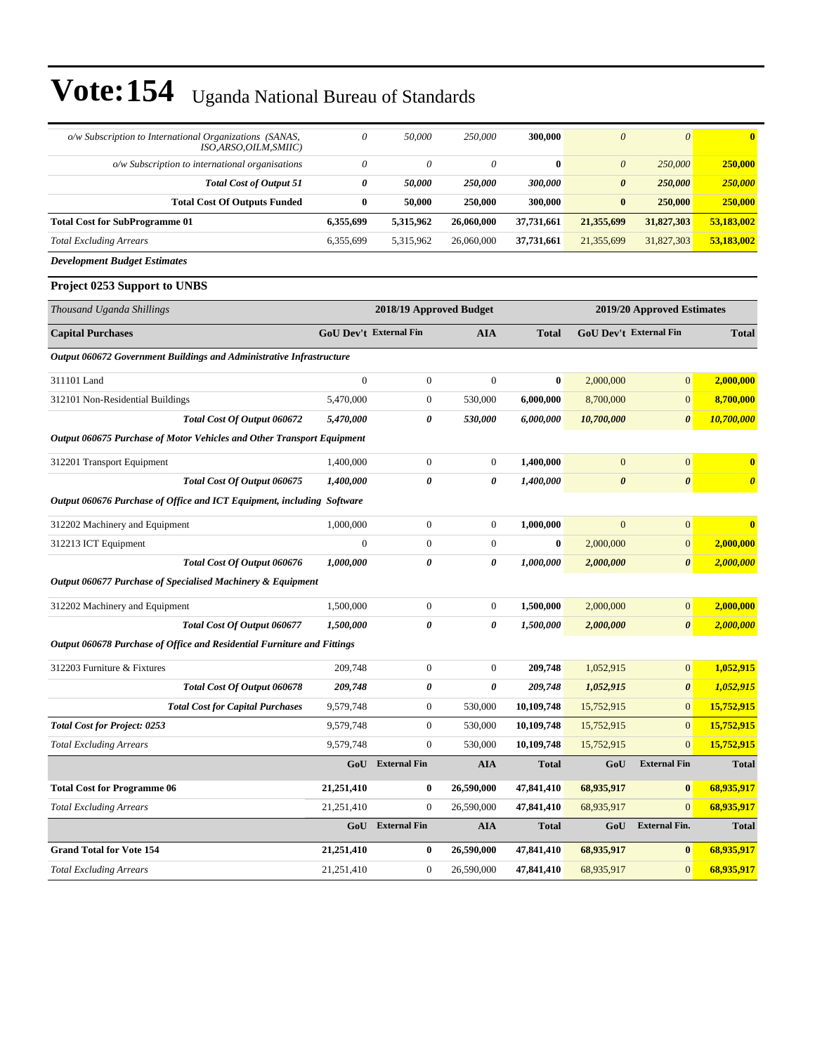| o/w Subscription to International Organizations (SANAS,<br>ISO, ARSO, OILM, SMIIC) | 0                             | 50,000              | 250,000          | 300,000      | $\theta$               | $\theta$                   | $\bf{0}$              |  |
|------------------------------------------------------------------------------------|-------------------------------|---------------------|------------------|--------------|------------------------|----------------------------|-----------------------|--|
| o/w Subscription to international organisations                                    | 0                             | 0                   | $\theta$         | $\bf{0}$     | $\boldsymbol{\theta}$  | 250,000                    | 250,000               |  |
| <b>Total Cost of Output 51</b>                                                     | 0                             | 50,000              | 250,000          | 300,000      | $\boldsymbol{\theta}$  | 250,000                    | 250,000               |  |
| <b>Total Cost Of Outputs Funded</b>                                                | $\bf{0}$                      | 50,000              | 250,000          | 300,000      | $\bf{0}$               | 250,000                    | 250,000               |  |
| <b>Total Cost for SubProgramme 01</b>                                              | 6,355,699                     | 5,315,962           | 26,060,000       | 37,731,661   | 21,355,699             | 31,827,303                 | 53,183,002            |  |
| <b>Total Excluding Arrears</b>                                                     | 6,355,699                     | 5,315,962           | 26,060,000       | 37,731,661   | 21,355,699             | 31,827,303                 | 53,183,002            |  |
| <b>Development Budget Estimates</b>                                                |                               |                     |                  |              |                        |                            |                       |  |
| Project 0253 Support to UNBS                                                       |                               |                     |                  |              |                        |                            |                       |  |
| Thousand Uganda Shillings                                                          | 2018/19 Approved Budget       |                     |                  |              |                        | 2019/20 Approved Estimates |                       |  |
| <b>Capital Purchases</b>                                                           | <b>GoU Dev't External Fin</b> |                     | <b>AIA</b>       | <b>Total</b> | GoU Dev't External Fin |                            | <b>Total</b>          |  |
| <b>Output 060672 Government Buildings and Administrative Infrastructure</b>        |                               |                     |                  |              |                        |                            |                       |  |
| 311101 Land                                                                        | $\boldsymbol{0}$              | $\boldsymbol{0}$    | $\boldsymbol{0}$ | $\bf{0}$     | 2,000,000              | $\overline{0}$             | 2,000,000             |  |
| 312101 Non-Residential Buildings                                                   | 5,470,000                     | $\boldsymbol{0}$    | 530,000          | 6,000,000    | 8,700,000              | $\mathbf{0}$               | 8,700,000             |  |
| Total Cost Of Output 060672                                                        | 5,470,000                     | 0                   | 530,000          | 6,000,000    | 10,700,000             | $\boldsymbol{\theta}$      | 10,700,000            |  |
| Output 060675 Purchase of Motor Vehicles and Other Transport Equipment             |                               |                     |                  |              |                        |                            |                       |  |
| 312201 Transport Equipment                                                         | 1,400,000                     | $\boldsymbol{0}$    | $\boldsymbol{0}$ | 1,400,000    | $\mathbf{0}$           | $\boldsymbol{0}$           | $\bf{0}$              |  |
| Total Cost Of Output 060675                                                        | 1,400,000                     | 0                   | 0                | 1,400,000    | $\boldsymbol{\theta}$  | $\boldsymbol{\theta}$      | $\boldsymbol{\theta}$ |  |
| Output 060676 Purchase of Office and ICT Equipment, including Software             |                               |                     |                  |              |                        |                            |                       |  |
| 312202 Machinery and Equipment                                                     | 1,000,000                     | $\boldsymbol{0}$    | $\boldsymbol{0}$ | 1,000,000    | $\mathbf{0}$           | $\boldsymbol{0}$           | $\bf{0}$              |  |
| 312213 ICT Equipment                                                               | $\boldsymbol{0}$              | $\boldsymbol{0}$    | $\boldsymbol{0}$ | $\bf{0}$     | 2,000,000              | $\mathbf{0}$               | 2,000,000             |  |
| Total Cost Of Output 060676                                                        | 1,000,000                     | 0                   | 0                | 1,000,000    | 2,000,000              | $\boldsymbol{\theta}$      | 2,000,000             |  |
| Output 060677 Purchase of Specialised Machinery & Equipment                        |                               |                     |                  |              |                        |                            |                       |  |
| 312202 Machinery and Equipment                                                     | 1,500,000                     | $\boldsymbol{0}$    | $\boldsymbol{0}$ | 1,500,000    | 2,000,000              | $\boldsymbol{0}$           | 2,000,000             |  |
| Total Cost Of Output 060677                                                        | 1,500,000                     | 0                   | 0                | 1,500,000    | 2,000,000              | 0                          | 2,000,000             |  |
| Output 060678 Purchase of Office and Residential Furniture and Fittings            |                               |                     |                  |              |                        |                            |                       |  |
| 312203 Furniture & Fixtures                                                        | 209,748                       | $\boldsymbol{0}$    | $\boldsymbol{0}$ | 209,748      | 1,052,915              | $\overline{0}$             | 1,052,915             |  |
| Total Cost Of Output 060678                                                        | 209,748                       | 0                   | 0                | 209,748      | 1,052,915              | $\boldsymbol{\theta}$      | 1,052,915             |  |
| <b>Total Cost for Capital Purchases</b>                                            | 9,579,748                     | $\boldsymbol{0}$    | 530,000          | 10,109,748   | 15,752,915             | $\mathbf{0}$               | 15,752,915            |  |
| <b>Total Cost for Project: 0253</b>                                                | 9,579,748                     | $\boldsymbol{0}$    | 530,000          | 10,109,748   | 15,752,915             | $\mathbf{0}$               | 15,752,915            |  |
| <b>Total Excluding Arrears</b>                                                     | 9,579,748                     | $\boldsymbol{0}$    | 530,000          | 10,109,748   | 15,752,915             | $\overline{0}$             | 15,752,915            |  |
|                                                                                    | GoU                           | <b>External Fin</b> | <b>AIA</b>       | <b>Total</b> | GoU                    | <b>External Fin</b>        | <b>Total</b>          |  |
| <b>Total Cost for Programme 06</b>                                                 | 21,251,410                    | $\bf{0}$            | 26,590,000       | 47,841,410   | 68,935,917             | $\bf{0}$                   | 68,935,917            |  |
| <b>Total Excluding Arrears</b>                                                     | 21,251,410                    | 0                   | 26,590,000       | 47,841,410   | 68,935,917             | $\mathbf{0}$               | 68,935,917            |  |
|                                                                                    |                               | GoU External Fin    | ${\bf A I A}$    | <b>Total</b> | GoU                    | <b>External Fin.</b>       | <b>Total</b>          |  |
| <b>Grand Total for Vote 154</b>                                                    | 21,251,410                    | $\bf{0}$            | 26,590,000       | 47,841,410   | 68,935,917             | $\bf{0}$                   | 68,935,917            |  |
| <b>Total Excluding Arrears</b>                                                     | 21,251,410                    | 0                   | 26,590,000       | 47,841,410   | 68,935,917             | $\mathbf{0}$               | 68,935,917            |  |